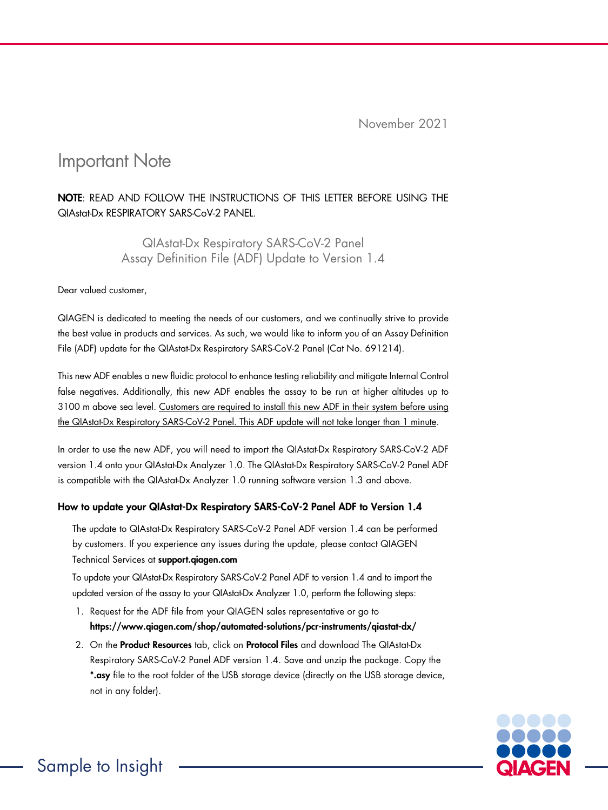## Important Note

## NOTE: READ AND FOLLOW THE INSTRUCTIONS OF THIS LETTER BEFORE USING THE QIAstat-Dx RESPIRATORY SARS-CoV-2 PANEL.

## QIAstat-Dx Respiratory SARS-CoV-2 Panel Assay Definition File (ADF) Update to Version 1.4

Dear valued customer,

QIAGEN is dedicated to meeting the needs of our customers, and we continually strive to provide the best value in products and services. As such, we would like to inform you of an Assay Definition File (ADF) update for the QIAstat-Dx Respiratory SARS-CoV-2 Panel (Cat No. 691214).

This new ADF enables a new fluidic protocol to enhance testing reliability and mitigate Internal Control false negatives. Additionally, this new ADF enables the assay to be run at higher altitudes up to 3100 m above sea level. Customers are required to install this new ADF in their system before using the QIAstat-Dx Respiratory SARS-CoV-2 Panel. This ADF update will not take longer than 1 minute.

In order to use the new ADF, you will need to import the QIAstat-Dx Respiratory SARS-CoV-2 ADF version 1.4 onto your QIAstat-Dx Analyzer 1.0. The QIAstat-Dx Respiratory SARS-CoV-2 Panel ADF is compatible with the QIAstat-Dx Analyzer 1.0 running software version 1.3 and above.

## How to update your QIAstat-Dx Respiratory SARS-CoV-2 Panel ADF to Version 1.4

The update to QIAstat-Dx Respiratory SARS-CoV-2 Panel ADF version 1.4 can be performed by customers. If you experience any issues during the update, please contact QIAGEN Technical Services at support.qiagen.com

To update your QIAstat-Dx Respiratory SARS-CoV-2 Panel ADF to version 1.4 and to import the updated version of the assay to your QIAstat-Dx Analyzer 1.0, perform the following steps:

- 1. Request for the ADF file from your QIAGEN sales representative or go to [https://www.qiagen.com/shop/automated-solutions/pcr-instruments/qiastat-dx/](https://www.qiagen.com/shop/automated-solutions/pcr-instruments/qiastatdx/)
- 2. On the Product Resources tab, click on Protocol Files and download The QIAstat-Dx Respiratory SARS-CoV-2 Panel ADF version 1.4. Save and unzip the package. Copy the \*.asy file to the root folder of the USB storage device (directly on the USB storage device, not in any folder).